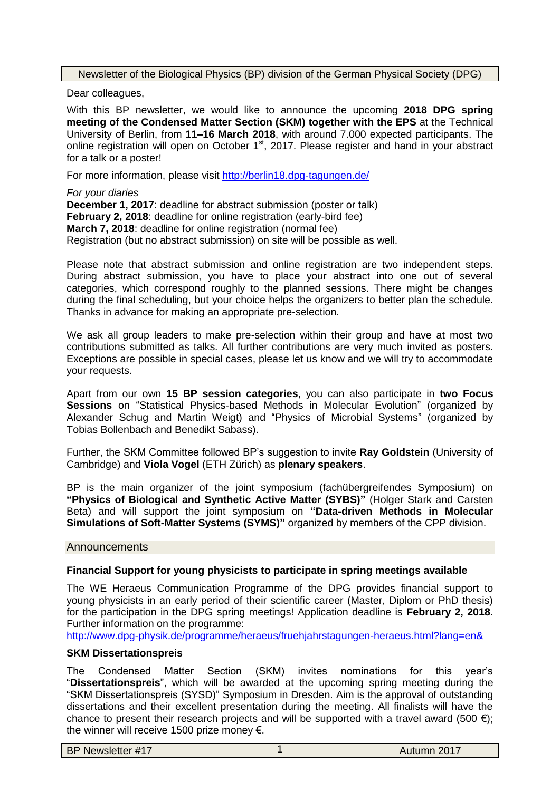Newsletter of the Biological Physics (BP) division of the German Physical Society (DPG)

Dear colleagues,

With this BP newsletter, we would like to announce the upcoming **2018 DPG spring meeting of the Condensed Matter Section (SKM) together with the EPS** at the Technical University of Berlin, from **11–16 March 2018**, with around 7.000 expected participants. The online registration will open on October  $1<sup>st</sup>$ , 2017. Please register and hand in your abstract for a talk or a poster!

For more information, please visit <http://berlin18.dpg-tagungen.de/>

*For your diaries*

**December 1, 2017**: deadline for abstract submission (poster or talk) **February 2, 2018**: deadline for online registration (early-bird fee) **March 7, 2018**: deadline for online registration (normal fee) Registration (but no abstract submission) on site will be possible as well.

Please note that abstract submission and online registration are two independent steps. During abstract submission, you have to place your abstract into one out of several categories, which correspond roughly to the planned sessions. There might be changes during the final scheduling, but your choice helps the organizers to better plan the schedule. Thanks in advance for making an appropriate pre-selection.

We ask all group leaders to make pre-selection within their group and have at most two contributions submitted as talks. All further contributions are very much invited as posters. Exceptions are possible in special cases, please let us know and we will try to accommodate your requests.

Apart from our own **15 BP session categories**, you can also participate in **two Focus Sessions** on "Statistical Physics-based Methods in Molecular Evolution" (organized by Alexander Schug and Martin Weigt) and "Physics of Microbial Systems" (organized by Tobias Bollenbach and Benedikt Sabass).

Further, the SKM Committee followed BP's suggestion to invite **Ray Goldstein** (University of Cambridge) and **Viola Vogel** (ETH Zürich) as **plenary speakers**.

BP is the main organizer of the joint symposium (fachübergreifendes Symposium) on **"Physics of Biological and Synthetic Active Matter (SYBS)"** (Holger Stark and Carsten Beta) and will support the joint symposium on **"Data-driven Methods in Molecular Simulations of Soft-Matter Systems (SYMS)"** organized by members of the CPP division.

#### **Announcements**

## **Financial Support for young physicists to participate in spring meetings available**

The WE Heraeus Communication Programme of the DPG provides financial support to young physicists in an early period of their scientific career (Master, Diplom or PhD thesis) for the participation in the DPG spring meetings! Application deadline is **February 2, 2018**. Further information on the programme:

<http://www.dpg-physik.de/programme/heraeus/fruehjahrstagungen-heraeus.html?lang=en&>

### **SKM Dissertationspreis**

The Condensed Matter Section (SKM) invites nominations for this year's "**Dissertationspreis**", which will be awarded at the upcoming spring meeting during the "SKM Dissertationspreis (SYSD)" Symposium in Dresden. Aim is the approval of outstanding dissertations and their excellent presentation during the meeting. All finalists will have the chance to present their research projects and will be supported with a travel award (500  $\epsilon$ ); the winner will receive 1500 prize money €.